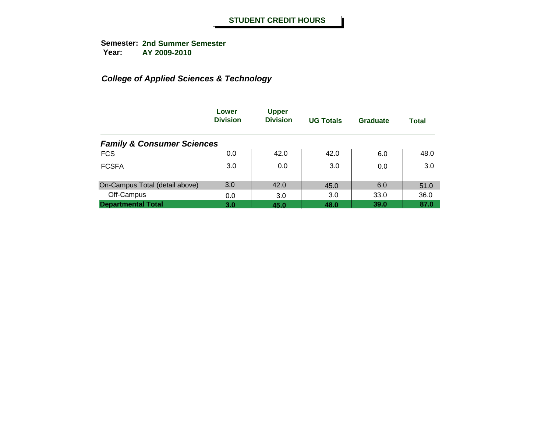|                                       | Lower<br><b>Division</b> | <b>Upper</b><br><b>Division</b> | <b>UG Totals</b> | Graduate | <b>Total</b> |
|---------------------------------------|--------------------------|---------------------------------|------------------|----------|--------------|
| <b>Family &amp; Consumer Sciences</b> |                          |                                 |                  |          |              |
| <b>FCS</b>                            | 0.0                      | 42.0                            | 42.0             | 6.0      | 48.0         |
| <b>FCSFA</b>                          | 3.0                      | 0.0                             | 3.0              | 0.0      | 3.0          |
| On-Campus Total (detail above)        | 3.0                      | 42.0                            | 45.0             | 6.0      | 51.0         |
| Off-Campus                            | 0.0                      | 3.0                             | 3.0              | 33.0     | 36.0         |
| <b>Departmental Total</b>             | 3.0                      | 45.0                            | 48.0             | 39.0     | 87.0         |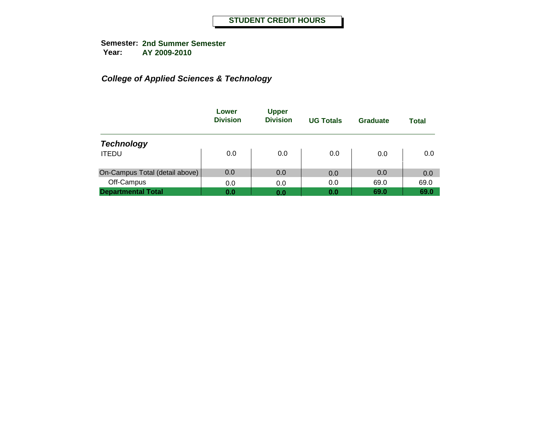|                                | Lower<br><b>Division</b> | <b>Upper</b><br><b>Division</b> | <b>UG Totals</b> | Graduate | Total |
|--------------------------------|--------------------------|---------------------------------|------------------|----------|-------|
| <b>Technology</b>              |                          |                                 |                  |          |       |
| <b>ITEDU</b>                   | 0.0                      | 0.0                             | 0.0              | 0.0      | 0.0   |
| On-Campus Total (detail above) | 0.0                      | 0.0                             | 0.0              | 0.0      | 0.0   |
| Off-Campus                     | 0.0                      | 0.0                             | 0.0              | 69.0     | 69.0  |
| <b>Departmental Total</b>      | 0.0                      | 0.0                             | 0.0              | 69.0     | 69.0  |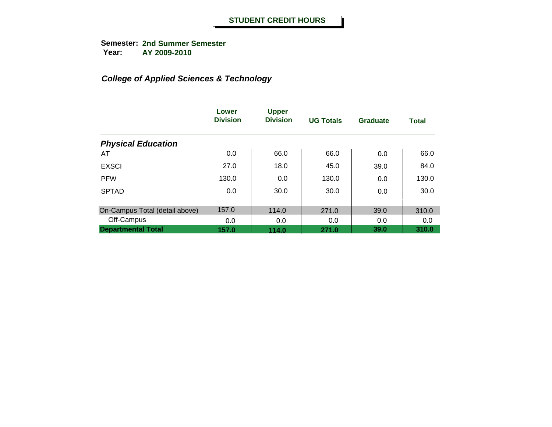|                                | Lower<br><b>Division</b> | <b>Upper</b><br><b>Division</b> | <b>UG Totals</b> | Graduate | <b>Total</b> |
|--------------------------------|--------------------------|---------------------------------|------------------|----------|--------------|
| <b>Physical Education</b>      |                          |                                 |                  |          |              |
| AT                             | 0.0                      | 66.0                            | 66.0             | 0.0      | 66.0         |
| <b>EXSCI</b>                   | 27.0                     | 18.0                            | 45.0             | 39.0     | 84.0         |
| <b>PFW</b>                     | 130.0                    | 0.0                             | 130.0            | 0.0      | 130.0        |
| <b>SPTAD</b>                   | 0.0                      | 30.0                            | 30.0             | 0.0      | 30.0         |
| On-Campus Total (detail above) | 157.0                    | 114.0                           | 271.0            | 39.0     | 310.0        |
| Off-Campus                     | 0.0                      | 0.0                             | 0.0              | 0.0      | 0.0          |
| <b>Departmental Total</b>      | 157.0                    | 114.0                           | 271.0            | 39.0     | 310.0        |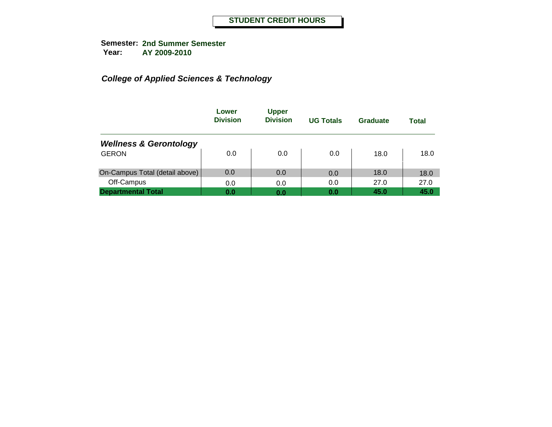|                                   | Lower<br><b>Division</b> | <b>Upper</b><br><b>Division</b> | <b>UG Totals</b> | Graduate | Total |
|-----------------------------------|--------------------------|---------------------------------|------------------|----------|-------|
| <b>Wellness &amp; Gerontology</b> |                          |                                 |                  |          |       |
| <b>GERON</b>                      | 0.0                      | 0.0                             | 0.0              | 18.0     | 18.0  |
| On-Campus Total (detail above)    | 0.0                      | 0.0                             | 0.0              | 18.0     | 18.0  |
| Off-Campus                        | 0.0                      | 0.0                             | 0.0              | 27.0     | 27.0  |
| <b>Departmental Total</b>         | 0.0                      | 0.0                             | 0.0              | 45.0     | 45.0  |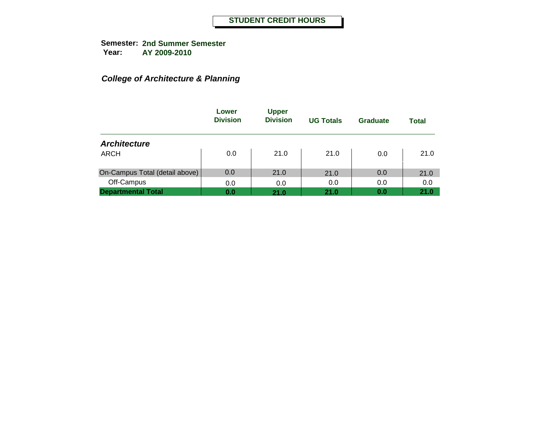## *College of Architecture & Planning*

|                                | Lower<br><b>Division</b> | <b>Upper</b><br><b>Division</b> | <b>UG Totals</b> | Graduate | <b>Total</b> |
|--------------------------------|--------------------------|---------------------------------|------------------|----------|--------------|
| <b>Architecture</b>            |                          |                                 |                  |          |              |
| <b>ARCH</b>                    | 0.0                      | 21.0                            | 21.0             | 0.0      | 21.0         |
| On-Campus Total (detail above) | 0.0                      | 21.0                            | 21.0             | 0.0      | 21.0         |
| Off-Campus                     | 0.0                      | 0.0                             | 0.0              | 0.0      | 0.0          |
| <b>Departmental Total</b>      | 0.0                      | 21.0                            | 21.0             | 0.0      | 21.0         |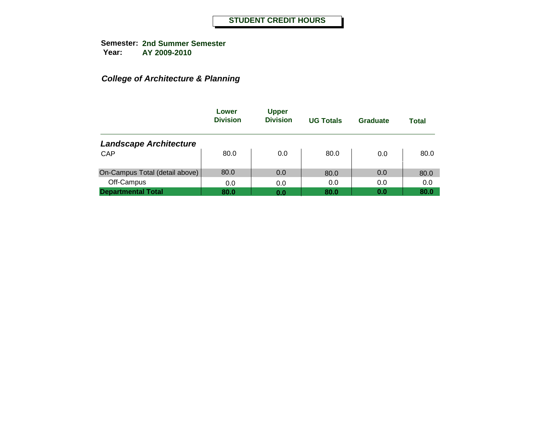## *College of Architecture & Planning*

|                                | Lower<br><b>Division</b> | <b>Upper</b><br><b>Division</b> | <b>UG Totals</b> | Graduate | Total |
|--------------------------------|--------------------------|---------------------------------|------------------|----------|-------|
| <b>Landscape Architecture</b>  |                          |                                 |                  |          |       |
| <b>CAP</b>                     | 80.0                     | 0.0                             | 80.0             | 0.0      | 80.0  |
| On-Campus Total (detail above) | 80.0                     | 0.0                             | 80.0             | 0.0      | 80.0  |
| Off-Campus                     | 0.0                      | 0.0                             | 0.0              | 0.0      | 0.0   |
| <b>Departmental Total</b>      | 80.0                     | 0.0                             | 80.0             | 0.0      | 80.0  |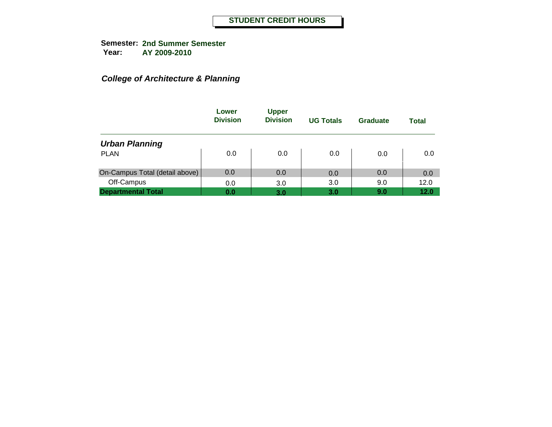## *College of Architecture & Planning*

|                                | Lower<br><b>Division</b> | <b>Upper</b><br><b>Division</b> | <b>UG Totals</b> | Graduate | Total |
|--------------------------------|--------------------------|---------------------------------|------------------|----------|-------|
| <b>Urban Planning</b>          |                          |                                 |                  |          |       |
| <b>PLAN</b>                    | 0.0                      | 0.0                             | 0.0              | 0.0      | 0.0   |
| On-Campus Total (detail above) | 0.0                      | 0.0                             | 0.0              | 0.0      | 0.0   |
| Off-Campus                     | 0.0                      | 3.0                             | 3.0              | 9.0      | 12.0  |
| <b>Departmental Total</b>      | 0.0                      | 3.0                             | 3.0              | 9.0      | 12.0  |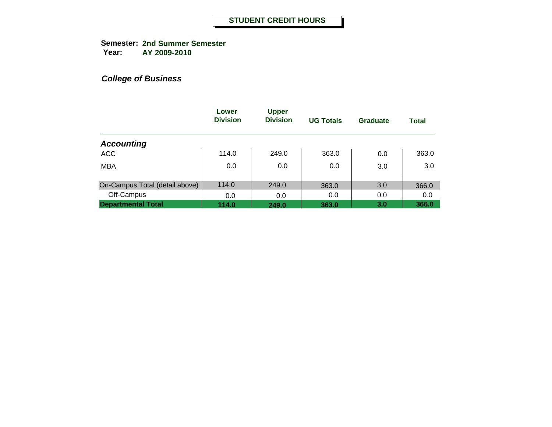**Semester: 2nd Summer Semester Year: AY 2009-2010**

|                                | Lower<br><b>Division</b> | <b>Upper</b><br><b>Division</b> | <b>UG Totals</b> | Graduate | <b>Total</b> |
|--------------------------------|--------------------------|---------------------------------|------------------|----------|--------------|
| <b>Accounting</b>              |                          |                                 |                  |          |              |
| <b>ACC</b>                     | 114.0                    | 249.0                           | 363.0            | 0.0      | 363.0        |
| <b>MBA</b>                     | 0.0                      | 0.0                             | 0.0              | 3.0      | 3.0          |
| On-Campus Total (detail above) | 114.0                    | 249.0                           | 363.0            | 3.0      | 366.0        |
| Off-Campus                     | 0.0                      | 0.0                             | 0.0              | 0.0      | 0.0          |
| <b>Departmental Total</b>      | 114.0                    | 249.0                           | 363.0            | 3.0      | 366.0        |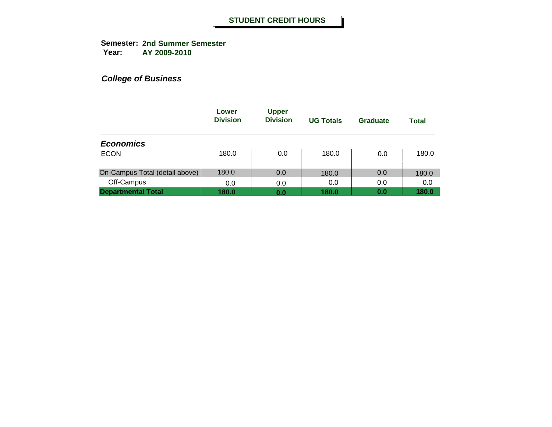|                                | Lower<br><b>Division</b> | <b>Upper</b><br><b>Division</b> | <b>UG Totals</b> | Graduate | <b>Total</b> |
|--------------------------------|--------------------------|---------------------------------|------------------|----------|--------------|
| <b>Economics</b>               |                          |                                 |                  |          |              |
| <b>ECON</b>                    | 180.0                    | 0.0                             | 180.0            | 0.0      | 180.0        |
| On-Campus Total (detail above) | 180.0                    | 0.0                             | 180.0            | 0.0      | 180.0        |
| Off-Campus                     | 0.0                      | 0.0                             | 0.0              | 0.0      | 0.0          |
| <b>Departmental Total</b>      | 180.0                    | 0.0                             | 180.0            | 0.0      | 180.0        |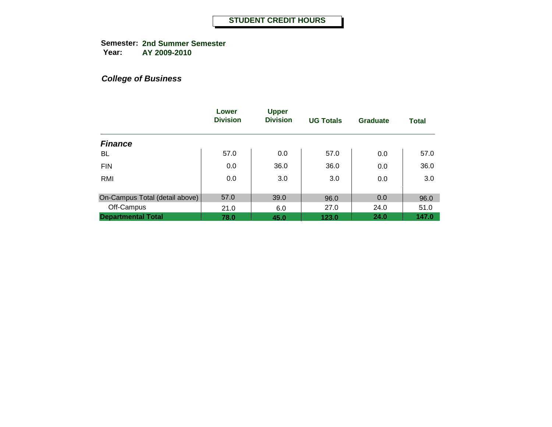**Semester: 2nd Summer Semester Year: AY 2009-2010**

|                                | Lower<br><b>Division</b> | <b>Upper</b><br><b>Division</b> | <b>UG Totals</b> | Graduate | <b>Total</b> |
|--------------------------------|--------------------------|---------------------------------|------------------|----------|--------------|
| <b>Finance</b>                 |                          |                                 |                  |          |              |
| BL                             | 57.0                     | 0.0                             | 57.0             | 0.0      | 57.0         |
| <b>FIN</b>                     | 0.0                      | 36.0                            | 36.0             | 0.0      | 36.0         |
| RMI                            | 0.0                      | 3.0                             | 3.0              | 0.0      | 3.0          |
| On-Campus Total (detail above) | 57.0                     | 39.0                            | 96.0             | 0.0      | 96.0         |
| Off-Campus                     | 21.0                     | 6.0                             | 27.0             | 24.0     | 51.0         |
| <b>Departmental Total</b>      | 78.0                     | 45.0                            | 123.0            | 24.0     | 147.0        |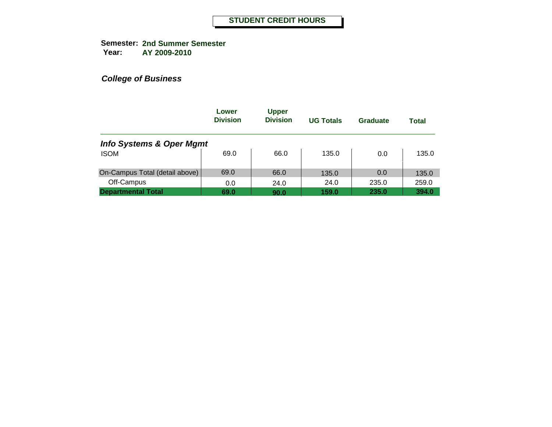**Semester: 2nd Summer Semester Year: AY 2009-2010**

|                                     | Lower<br><b>Division</b> | <b>Upper</b><br><b>Division</b> | <b>UG Totals</b> | Graduate | Total |
|-------------------------------------|--------------------------|---------------------------------|------------------|----------|-------|
| <b>Info Systems &amp; Oper Mgmt</b> |                          |                                 |                  |          |       |
| <b>ISOM</b>                         | 69.0                     | 66.0                            | 135.0            | 0.0      | 135.0 |
| On-Campus Total (detail above)      | 69.0                     | 66.0                            | 135.0            | 0.0      | 135.0 |
| Off-Campus                          | 0.0                      | 24.0                            | 24.0             | 235.0    | 259.0 |
| <b>Departmental Total</b>           | 69.0                     | 90.0                            | 159.0            | 235.0    | 394.0 |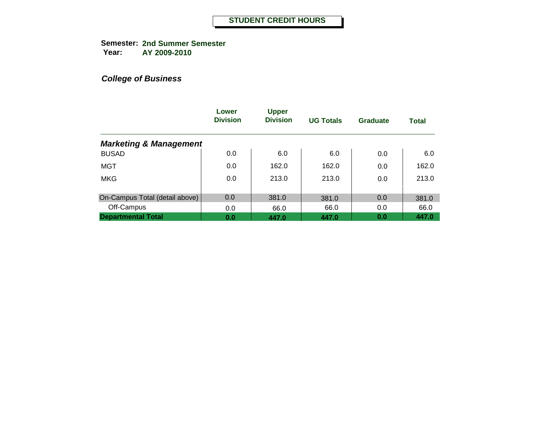**Semester: 2nd Summer Semester Year: AY 2009-2010**

|                                   | Lower<br><b>Division</b> | <b>Upper</b><br><b>Division</b> | <b>UG Totals</b> | Graduate | <b>Total</b> |
|-----------------------------------|--------------------------|---------------------------------|------------------|----------|--------------|
| <b>Marketing &amp; Management</b> |                          |                                 |                  |          |              |
| <b>BUSAD</b>                      | 0.0                      | 6.0                             | 6.0              | 0.0      | 6.0          |
| MGT                               | 0.0                      | 162.0                           | 162.0            | 0.0      | 162.0        |
| <b>MKG</b>                        | 0.0                      | 213.0                           | 213.0            | 0.0      | 213.0        |
| On-Campus Total (detail above)    | 0.0                      | 381.0                           | 381.0            | 0.0      | 381.0        |
| Off-Campus                        | 0.0                      | 66.0                            | 66.0             | 0.0      | 66.0         |
| <b>Departmental Total</b>         | 0.0                      | 447.0                           | 447.0            | 0.0      | 447.0        |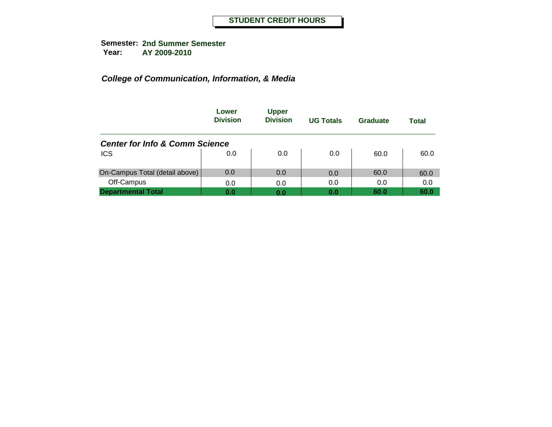|                                           | Lower<br><b>Division</b> | <b>Upper</b><br><b>Division</b> | <b>UG Totals</b> | Graduate | Total |
|-------------------------------------------|--------------------------|---------------------------------|------------------|----------|-------|
| <b>Center for Info &amp; Comm Science</b> |                          |                                 |                  |          |       |
| <b>ICS</b>                                | 0.0                      | 0.0                             | 0.0              | 60.0     | 60.0  |
| On-Campus Total (detail above)            | 0.0                      | 0.0                             | 0.0              | 60.0     | 60.0  |
| Off-Campus                                | 0.0                      | 0.0                             | 0.0              | 0.0      | 0.0   |
| <b>Departmental Total</b>                 | 0.0                      | 0.0                             | 0.0              | 60.0     | 60.0  |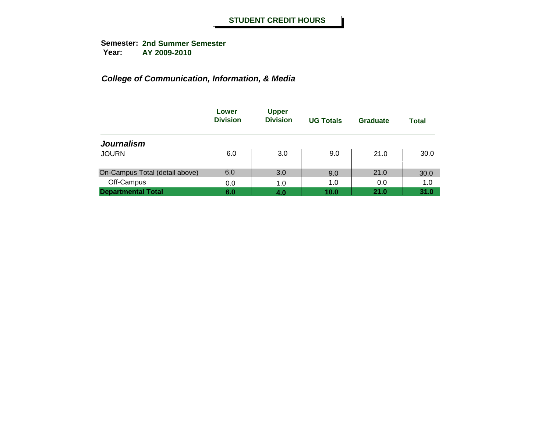|                                | Lower<br><b>Division</b> | <b>Upper</b><br><b>Division</b> | <b>UG Totals</b> | Graduate | <b>Total</b> |
|--------------------------------|--------------------------|---------------------------------|------------------|----------|--------------|
| <b>Journalism</b>              |                          |                                 |                  |          |              |
| <b>JOURN</b>                   | 6.0                      | 3.0                             | 9.0              | 21.0     | 30.0         |
| On-Campus Total (detail above) | 6.0                      | 3.0                             | 9.0              | 21.0     | 30.0         |
| Off-Campus                     | 0.0                      | 1.0                             | 1.0              | 0.0      | 1.0          |
| <b>Departmental Total</b>      | 6.0                      | 4.0                             | 10.0             | 21.0     | 31.0         |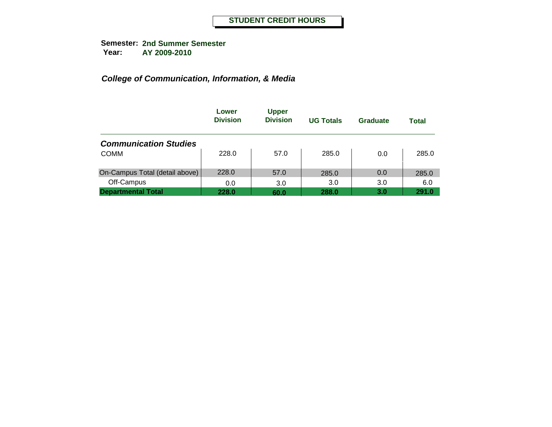|                                | Lower<br><b>Division</b> | <b>Upper</b><br><b>Division</b> | <b>UG Totals</b> | Graduate | <b>Total</b> |
|--------------------------------|--------------------------|---------------------------------|------------------|----------|--------------|
| <b>Communication Studies</b>   |                          |                                 |                  |          |              |
| <b>COMM</b>                    | 228.0                    | 57.0                            | 285.0            | 0.0      | 285.0        |
| On-Campus Total (detail above) | 228.0                    | 57.0                            | 285.0            | 0.0      | 285.0        |
| Off-Campus                     | 0.0                      | 3.0                             | 3.0              | 3.0      | 6.0          |
| <b>Departmental Total</b>      | 228.0                    | 60.0                            | 288.0            | 3.0      | 291.0        |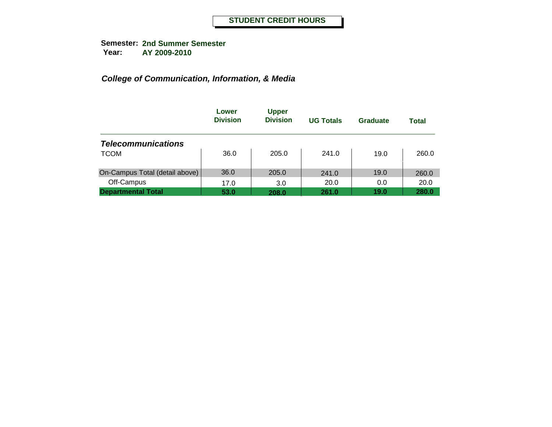|                                | Lower<br><b>Division</b> | <b>Upper</b><br><b>Division</b> | <b>UG Totals</b> | Graduate | Total |
|--------------------------------|--------------------------|---------------------------------|------------------|----------|-------|
| <b>Telecommunications</b>      |                          |                                 |                  |          |       |
| <b>TCOM</b>                    | 36.0                     | 205.0                           | 241.0            | 19.0     | 260.0 |
| On-Campus Total (detail above) | 36.0                     | 205.0                           | 241.0            | 19.0     | 260.0 |
| Off-Campus                     | 17.0                     | 3.0                             | 20.0             | 0.0      | 20.0  |
| <b>Departmental Total</b>      | 53.0                     | 208.0                           | 261.0            | 19.0     | 280.0 |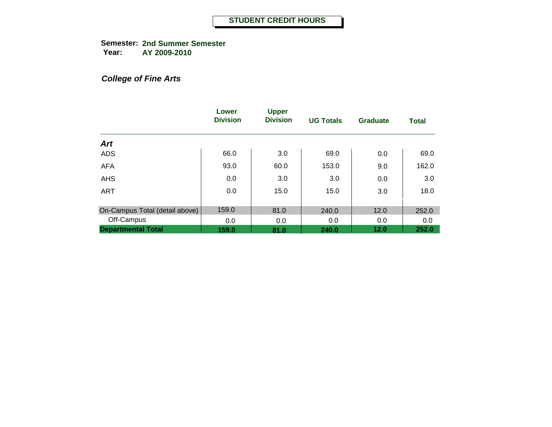**Semester: 2nd Summer Semester Year: AY 2009-2010**

#### *College of Fine Arts*

|                                | Lower<br><b>Division</b> | <b>Upper</b><br><b>Division</b> | <b>UG Totals</b> | Graduate | <b>Total</b> |
|--------------------------------|--------------------------|---------------------------------|------------------|----------|--------------|
| <b>Art</b>                     |                          |                                 |                  |          |              |
| <b>ADS</b>                     | 66.0                     | 3.0                             | 69.0             | 0.0      | 69.0         |
| <b>AFA</b>                     | 93.0                     | 60.0                            | 153.0            | 9.0      | 162.0        |
| <b>AHS</b>                     | 0.0                      | 3.0                             | 3.0              | 0.0      | 3.0          |
| <b>ART</b>                     | 0.0                      | 15.0                            | 15.0             | 3.0      | 18.0         |
| On-Campus Total (detail above) | 159.0                    | 81.0                            | 240.0            | 12.0     | 252.0        |
| Off-Campus                     | 0.0                      | 0.0                             | 0.0              | 0.0      | 0.0          |
| <b>Departmental Total</b>      | 159.0                    | 81.0                            | 240.0            | 12.0     | 252.0        |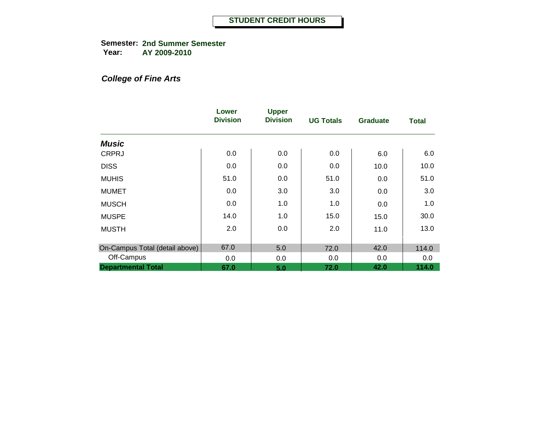**Semester: 2nd Summer Semester Year: AY 2009-2010**

#### *College of Fine Arts*

|                                | Lower<br><b>Division</b> | <b>Upper</b><br><b>Division</b> | <b>UG Totals</b> | <b>Graduate</b> | <b>Total</b> |
|--------------------------------|--------------------------|---------------------------------|------------------|-----------------|--------------|
| <b>Music</b>                   |                          |                                 |                  |                 |              |
| <b>CRPRJ</b>                   | 0.0                      | 0.0                             | 0.0              | 6.0             | 6.0          |
| <b>DISS</b>                    | 0.0                      | 0.0                             | 0.0              | 10.0            | 10.0         |
| <b>MUHIS</b>                   | 51.0                     | 0.0                             | 51.0             | 0.0             | 51.0         |
| <b>MUMET</b>                   | 0.0                      | 3.0                             | 3.0              | 0.0             | 3.0          |
| <b>MUSCH</b>                   | 0.0                      | 1.0                             | 1.0              | 0.0             | 1.0          |
| <b>MUSPE</b>                   | 14.0                     | 1.0                             | 15.0             | 15.0            | 30.0         |
| <b>MUSTH</b>                   | 2.0                      | 0.0                             | 2.0              | 11.0            | 13.0         |
| On-Campus Total (detail above) | 67.0                     | 5.0                             | 72.0             | 42.0            | 114.0        |
| Off-Campus                     | 0.0                      | 0.0                             | 0.0              | 0.0             | 0.0          |
| <b>Departmental Total</b>      | 67.0                     | 5.0                             | 72.0             | 42.0            | 114.0        |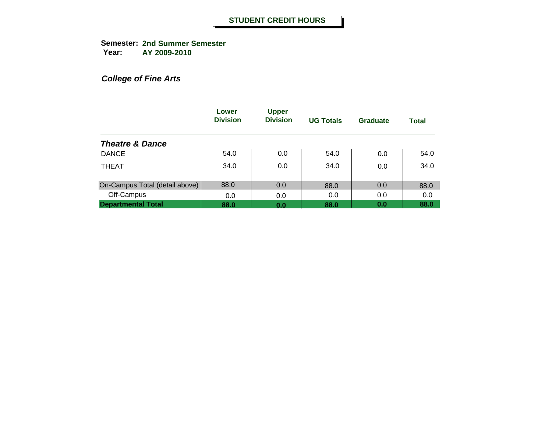**Semester: 2nd Summer Semester Year: AY 2009-2010**

*College of Fine Arts*

|                                | Lower<br><b>Division</b> | <b>Upper</b><br><b>Division</b> | <b>UG Totals</b> | Graduate | <b>Total</b> |
|--------------------------------|--------------------------|---------------------------------|------------------|----------|--------------|
| <b>Theatre &amp; Dance</b>     |                          |                                 |                  |          |              |
| <b>DANCE</b>                   | 54.0                     | 0.0                             | 54.0             | 0.0      | 54.0         |
| <b>THEAT</b>                   | 34.0                     | 0.0                             | 34.0             | 0.0      | 34.0         |
| On-Campus Total (detail above) | 88.0                     | 0.0                             | 88.0             | 0.0      | 88.0         |
| Off-Campus                     | 0.0                      | 0.0                             | 0.0              | 0.0      | 0.0          |
| <b>Departmental Total</b>      | 88.0                     | 0.0                             | 88.0             | 0.0      | 88.0         |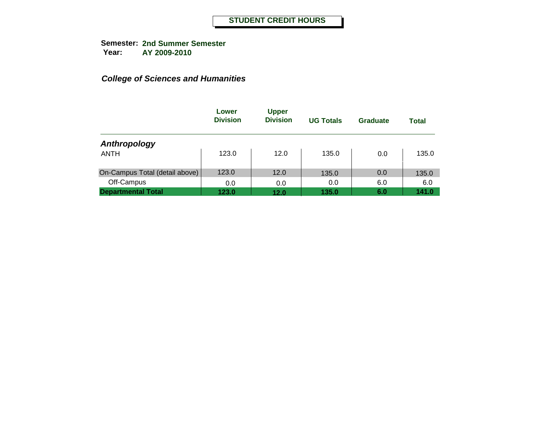|                                | Lower<br><b>Division</b> | <b>Upper</b><br><b>Division</b> | <b>UG Totals</b> | Graduate | <b>Total</b> |
|--------------------------------|--------------------------|---------------------------------|------------------|----------|--------------|
| Anthropology                   |                          |                                 |                  |          |              |
| <b>ANTH</b>                    | 123.0                    | 12.0                            | 135.0            | 0.0      | 135.0        |
| On-Campus Total (detail above) | 123.0                    | 12.0                            | 135.0            | 0.0      | 135.0        |
| Off-Campus                     | 0.0                      | 0.0                             | 0.0              | 6.0      | 6.0          |
| <b>Departmental Total</b>      | 123.0                    | 12.0                            | 135.0            | 6.0      | 141.0        |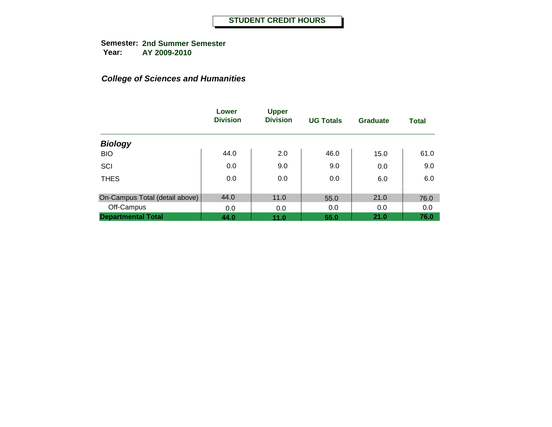|                                | Lower<br><b>Division</b> | <b>Upper</b><br><b>Division</b> | <b>UG Totals</b> | Graduate | <b>Total</b> |
|--------------------------------|--------------------------|---------------------------------|------------------|----------|--------------|
| <b>Biology</b>                 |                          |                                 |                  |          |              |
| <b>BIO</b>                     | 44.0                     | 2.0                             | 46.0             | 15.0     | 61.0         |
| SCI                            | 0.0                      | 9.0                             | 9.0              | 0.0      | 9.0          |
| <b>THES</b>                    | 0.0                      | 0.0                             | 0.0              | 6.0      | 6.0          |
|                                | 44.0                     |                                 |                  |          |              |
| On-Campus Total (detail above) |                          | 11.0                            | 55.0             | 21.0     | 76.0         |
| Off-Campus                     | 0.0                      | 0.0                             | 0.0              | 0.0      | 0.0          |
| <b>Departmental Total</b>      | 44.0                     | 11.0                            | 55.0             | 21.0     | 76.0         |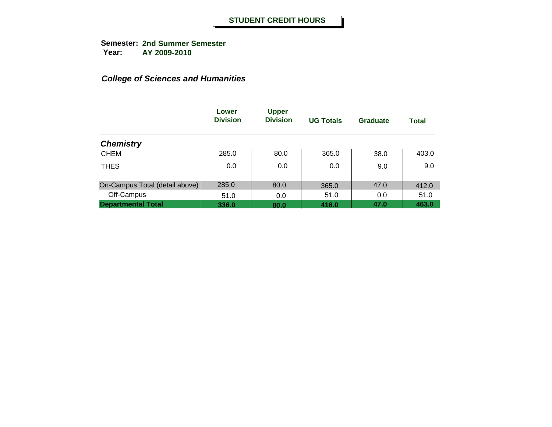|                                | Lower<br><b>Division</b> | <b>Upper</b><br><b>Division</b> | <b>UG Totals</b> | <b>Graduate</b> | <b>Total</b> |
|--------------------------------|--------------------------|---------------------------------|------------------|-----------------|--------------|
| <b>Chemistry</b>               |                          |                                 |                  |                 |              |
| <b>CHEM</b>                    | 285.0                    | 80.0                            | 365.0            | 38.0            | 403.0        |
| <b>THES</b>                    | 0.0                      | 0.0                             | 0.0              | 9.0             | 9.0          |
| On-Campus Total (detail above) | 285.0                    | 80.0                            | 365.0            | 47.0            | 412.0        |
| Off-Campus                     | 51.0                     | 0.0                             | 51.0             | 0.0             | 51.0         |
| <b>Departmental Total</b>      | 336.0                    | 80.0                            | 416.0            | 47.0            | 463.0        |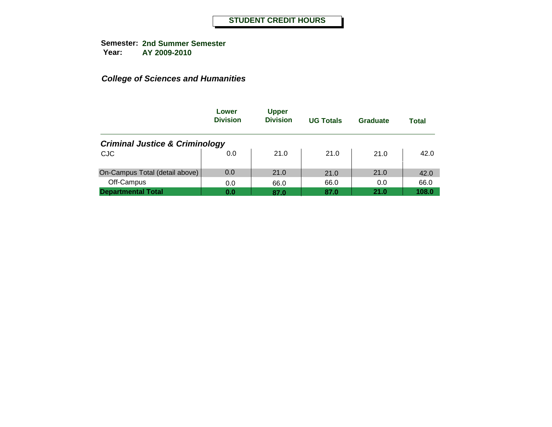|                                           | Lower<br><b>Division</b> | <b>Upper</b><br><b>Division</b> | <b>UG Totals</b> | Graduate | Total |
|-------------------------------------------|--------------------------|---------------------------------|------------------|----------|-------|
| <b>Criminal Justice &amp; Criminology</b> |                          |                                 |                  |          |       |
| <b>CJC</b>                                | 0.0                      | 21.0                            | 21.0             | 21.0     | 42.0  |
| On-Campus Total (detail above)            | 0.0                      | 21.0                            | 21.0             | 21.0     | 42.0  |
| Off-Campus                                | 0.0                      | 66.0                            | 66.0             | 0.0      | 66.0  |
| <b>Departmental Total</b>                 | 0.0                      | 87.0                            | 87.0             | 21.0     | 108.0 |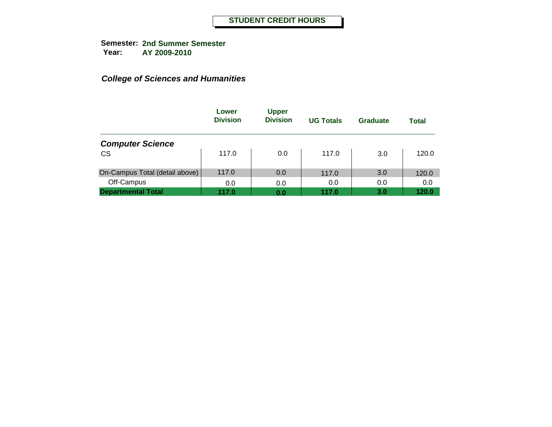|                                | Lower<br><b>Division</b> | <b>Upper</b><br><b>Division</b> | <b>UG Totals</b> | Graduate | <b>Total</b> |
|--------------------------------|--------------------------|---------------------------------|------------------|----------|--------------|
| <b>Computer Science</b>        |                          |                                 |                  |          |              |
| <b>CS</b>                      | 117.0                    | 0.0                             | 117.0            | 3.0      | 120.0        |
| On-Campus Total (detail above) | 117.0                    | 0.0                             | 117.0            | 3.0      | 120.0        |
| Off-Campus                     | 0.0                      | 0.0                             | 0.0              | 0.0      | 0.0          |
| <b>Departmental Total</b>      | 117.0                    | 0.0                             | 117.0            | 3.0      | 120.0        |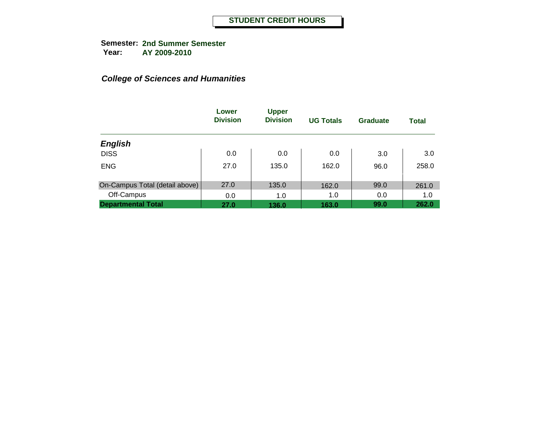|                                | Lower<br><b>Division</b> | <b>Upper</b><br><b>Division</b> | <b>UG Totals</b> | <b>Graduate</b> | <b>Total</b> |
|--------------------------------|--------------------------|---------------------------------|------------------|-----------------|--------------|
| <b>English</b>                 |                          |                                 |                  |                 |              |
| <b>DISS</b>                    | 0.0                      | 0.0                             | 0.0              | 3.0             | 3.0          |
| <b>ENG</b>                     | 27.0                     | 135.0                           | 162.0            | 96.0            | 258.0        |
| On-Campus Total (detail above) | 27.0                     | 135.0                           | 162.0            | 99.0            | 261.0        |
| Off-Campus                     | 0.0                      | 1.0                             | 1.0              | 0.0             | 1.0          |
| <b>Departmental Total</b>      | 27.0                     | 136.0                           | 163.0            | 99.0            | 262.0        |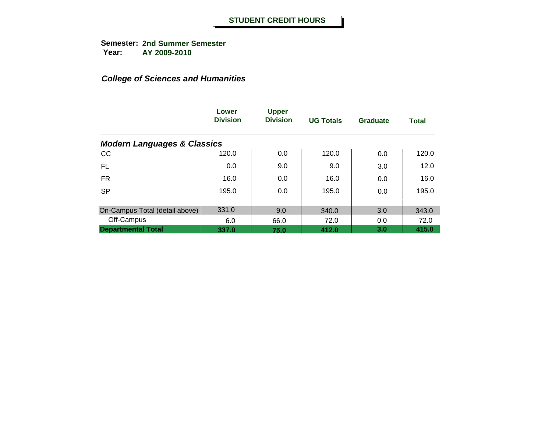|                                        | Lower<br><b>Division</b> | <b>Upper</b><br><b>Division</b> | <b>UG Totals</b> | Graduate | <b>Total</b> |
|----------------------------------------|--------------------------|---------------------------------|------------------|----------|--------------|
| <b>Modern Languages &amp; Classics</b> |                          |                                 |                  |          |              |
| cc                                     | 120.0                    | 0.0                             | 120.0            | 0.0      | 120.0        |
| FL                                     | 0.0                      | 9.0                             | 9.0              | 3.0      | 12.0         |
| <b>FR</b>                              | 16.0                     | 0.0                             | 16.0             | 0.0      | 16.0         |
| <b>SP</b>                              | 195.0                    | 0.0                             | 195.0            | 0.0      | 195.0        |
| On-Campus Total (detail above)         | 331.0                    | 9.0                             | 340.0            | 3.0      | 343.0        |
| Off-Campus                             | 6.0                      | 66.0                            | 72.0             | 0.0      | 72.0         |
| <b>Departmental Total</b>              | 337.0                    | 75.0                            | 412.0            | 3.0      | 415.0        |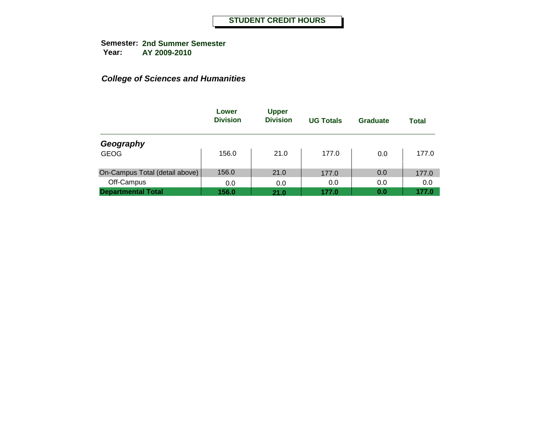|                                | Lower<br><b>Division</b> | <b>Upper</b><br><b>Division</b> | <b>UG Totals</b> | Graduate | <b>Total</b> |
|--------------------------------|--------------------------|---------------------------------|------------------|----------|--------------|
| Geography                      |                          |                                 |                  |          |              |
| <b>GEOG</b>                    | 156.0                    | 21.0                            | 177.0            | 0.0      | 177.0        |
| On-Campus Total (detail above) | 156.0                    | 21.0                            | 177.0            | 0.0      | 177.0        |
| Off-Campus                     | 0.0                      | 0.0                             | 0.0              | 0.0      | 0.0          |
| <b>Departmental Total</b>      | 156.0                    | 21.0                            | 177.0            | 0.0      | 177.0        |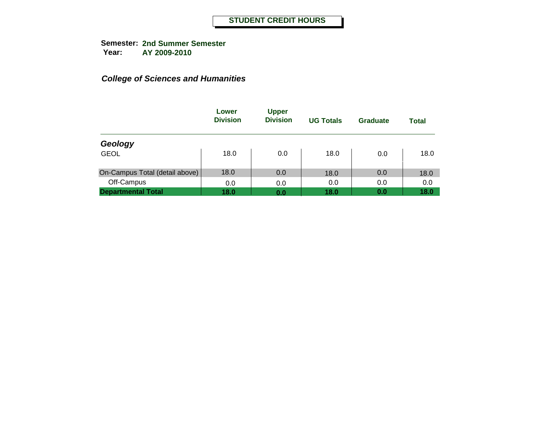|                                | Lower<br><b>Division</b> | <b>Upper</b><br><b>Division</b> | <b>UG Totals</b> | Graduate | <b>Total</b> |
|--------------------------------|--------------------------|---------------------------------|------------------|----------|--------------|
| Geology                        |                          |                                 |                  |          |              |
| <b>GEOL</b>                    | 18.0                     | 0.0                             | 18.0             | 0.0      | 18.0         |
| On-Campus Total (detail above) | 18.0                     | 0.0                             | 18.0             | 0.0      | 18.0         |
| Off-Campus                     | 0.0                      | 0.0                             | 0.0              | 0.0      | 0.0          |
| <b>Departmental Total</b>      | 18.0                     | 0.0                             | 18.0             | 0.0      | 18.0         |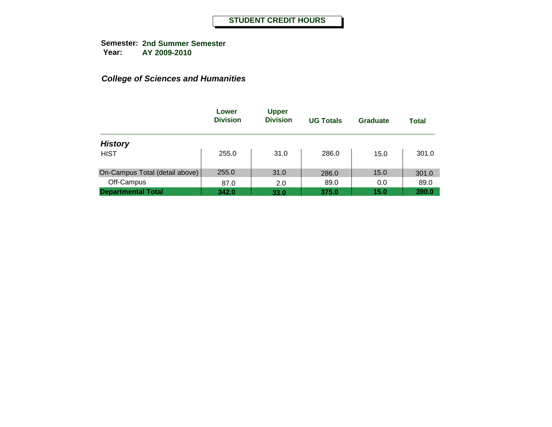|                                | Lower<br><b>Division</b> | <b>Upper</b><br><b>Division</b> | <b>UG Totals</b> | Graduate | <b>Total</b> |
|--------------------------------|--------------------------|---------------------------------|------------------|----------|--------------|
| <b>History</b>                 |                          |                                 |                  |          |              |
| <b>HIST</b>                    | 255.0                    | 31.0                            | 286.0            | 15.0     | 301.0        |
| On-Campus Total (detail above) | 255.0                    | 31.0                            | 286.0            | 15.0     | 301.0        |
| Off-Campus                     | 87.0                     | 2.0                             | 89.0             | 0.0      | 89.0         |
| <b>Departmental Total</b>      | 342.0                    | 33.0                            | 375.0            | 15.0     | 390.0        |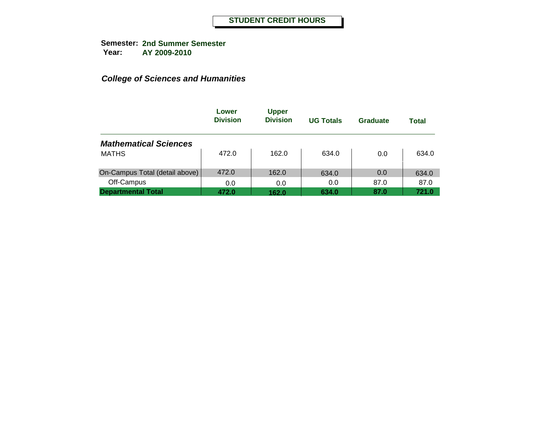|                                | Lower<br><b>Division</b> | <b>Upper</b><br><b>Division</b> | <b>UG Totals</b> | Graduate | <b>Total</b> |
|--------------------------------|--------------------------|---------------------------------|------------------|----------|--------------|
| <b>Mathematical Sciences</b>   |                          |                                 |                  |          |              |
| <b>MATHS</b>                   | 472.0                    | 162.0                           | 634.0            | 0.0      | 634.0        |
| On-Campus Total (detail above) | 472.0                    | 162.0                           | 634.0            | 0.0      | 634.0        |
| Off-Campus                     | 0.0                      | 0.0                             | 0.0              | 87.0     | 87.0         |
| <b>Departmental Total</b>      | 472.0                    | 162.0                           | 634.0            | 87.0     | 721.0        |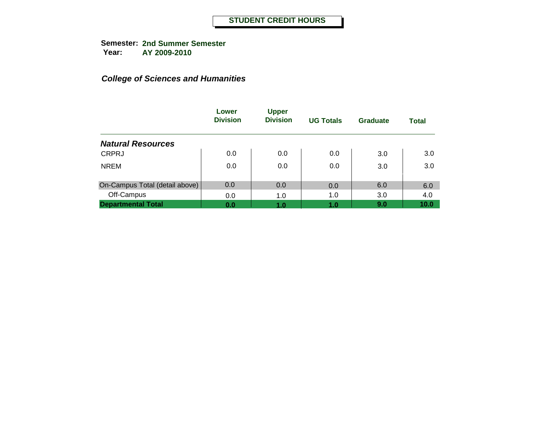|                                | Lower<br><b>Division</b> | <b>Upper</b><br><b>Division</b> | <b>UG Totals</b> | Graduate | <b>Total</b> |
|--------------------------------|--------------------------|---------------------------------|------------------|----------|--------------|
| <b>Natural Resources</b>       |                          |                                 |                  |          |              |
| <b>CRPRJ</b>                   | 0.0                      | 0.0                             | 0.0              | 3.0      | 3.0          |
| <b>NREM</b>                    | 0.0                      | 0.0                             | 0.0              | 3.0      | 3.0          |
| On-Campus Total (detail above) | 0.0                      | 0.0                             | 0.0              | 6.0      | 6.0          |
| Off-Campus                     | 0.0                      | 1.0                             | 1.0              | 3.0      | 4.0          |
| <b>Departmental Total</b>      | 0.0                      | 1.0                             | 1.0              | 9.0      | 10.0         |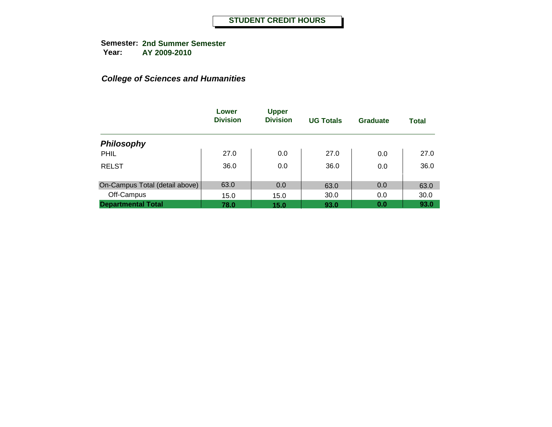|                                | Lower<br><b>Division</b> | <b>Upper</b><br><b>Division</b> | <b>UG Totals</b> | <b>Graduate</b> | <b>Total</b> |
|--------------------------------|--------------------------|---------------------------------|------------------|-----------------|--------------|
| <b>Philosophy</b>              |                          |                                 |                  |                 |              |
| PHIL                           | 27.0                     | 0.0                             | 27.0             | 0.0             | 27.0         |
| <b>RELST</b>                   | 36.0                     | 0.0                             | 36.0             | 0.0             | 36.0         |
| On-Campus Total (detail above) | 63.0                     | 0.0                             | 63.0             | 0.0             | 63.0         |
| Off-Campus                     | 15.0                     | 15.0                            | 30.0             | 0.0             | 30.0         |
| <b>Departmental Total</b>      | 78.0                     | 15.0                            | 93.0             | 0.0             | 93.0         |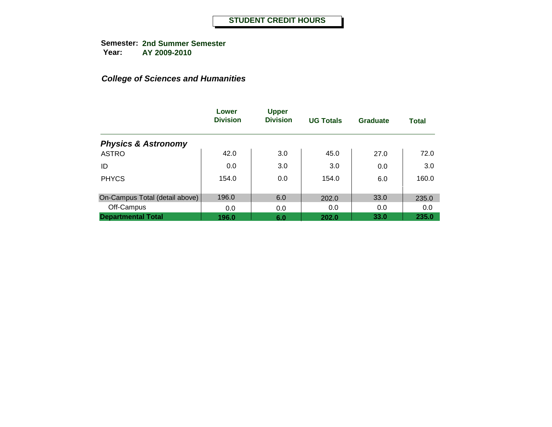|                                | Lower<br><b>Division</b> | <b>Upper</b><br><b>Division</b> | <b>UG Totals</b> | Graduate | <b>Total</b> |
|--------------------------------|--------------------------|---------------------------------|------------------|----------|--------------|
| <b>Physics &amp; Astronomy</b> |                          |                                 |                  |          |              |
| <b>ASTRO</b>                   | 42.0                     | 3.0                             | 45.0             | 27.0     | 72.0         |
| ID                             | 0.0                      | 3.0                             | 3.0              | 0.0      | 3.0          |
| <b>PHYCS</b>                   | 154.0                    | 0.0                             | 154.0            | 6.0      | 160.0        |
| On-Campus Total (detail above) | 196.0                    | 6.0                             | 202.0            | 33.0     | 235.0        |
| Off-Campus                     | 0.0                      | 0.0                             | 0.0              | 0.0      | 0.0          |
| <b>Departmental Total</b>      | 196.0                    | 6.0                             | 202.0            | 33.0     | 235.0        |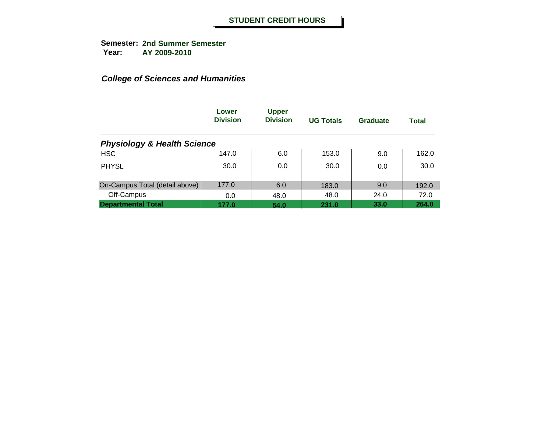|                                        | Lower<br><b>Division</b> | <b>Upper</b><br><b>Division</b> | <b>UG Totals</b> | Graduate | <b>Total</b> |
|----------------------------------------|--------------------------|---------------------------------|------------------|----------|--------------|
| <b>Physiology &amp; Health Science</b> |                          |                                 |                  |          |              |
| <b>HSC</b>                             | 147.0                    | 6.0                             | 153.0            | 9.0      | 162.0        |
| <b>PHYSL</b>                           | 30.0                     | 0.0                             | 30.0             | 0.0      | 30.0         |
| On-Campus Total (detail above)         | 177.0                    | 6.0                             | 183.0            | 9.0      | 192.0        |
| Off-Campus                             | 0.0                      | 48.0                            | 48.0             | 24.0     | 72.0         |
| <b>Departmental Total</b>              | 177.0                    | 54.0                            | 231.0            | 33.0     | 264.0        |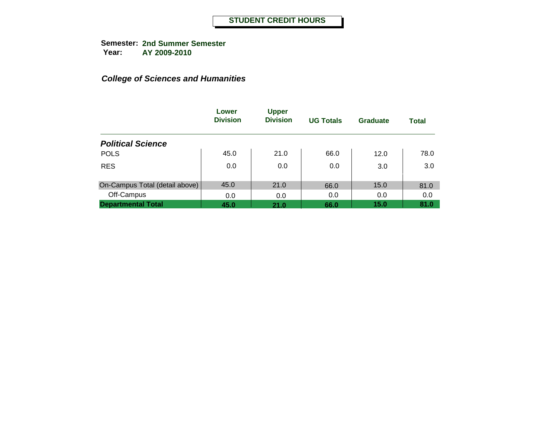|                                | Lower<br><b>Division</b> | <b>Upper</b><br><b>Division</b> | <b>UG Totals</b> | <b>Graduate</b> | <b>Total</b> |
|--------------------------------|--------------------------|---------------------------------|------------------|-----------------|--------------|
| <b>Political Science</b>       |                          |                                 |                  |                 |              |
| <b>POLS</b>                    | 45.0                     | 21.0                            | 66.0             | 12.0            | 78.0         |
| <b>RES</b>                     | 0.0                      | 0.0                             | 0.0              | 3.0             | 3.0          |
| On-Campus Total (detail above) | 45.0                     | 21.0                            | 66.0             | 15.0            | 81.0         |
| Off-Campus                     | 0.0                      | 0.0                             | 0.0              | 0.0             | 0.0          |
| <b>Departmental Total</b>      | 45.0                     | 21.0                            | 66.0             | 15.0            | 81.0         |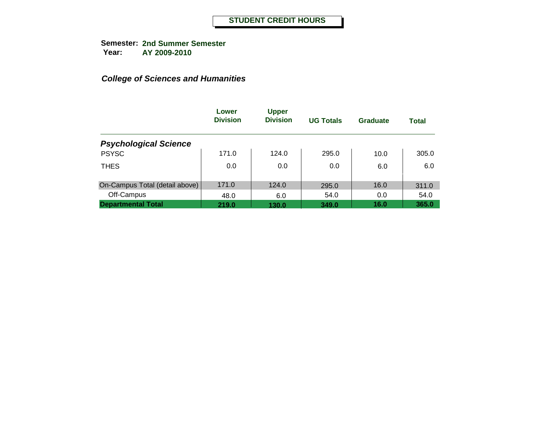|                                | Lower<br><b>Division</b> | <b>Upper</b><br><b>Division</b> | <b>UG Totals</b> | <b>Graduate</b> | <b>Total</b> |
|--------------------------------|--------------------------|---------------------------------|------------------|-----------------|--------------|
| <b>Psychological Science</b>   |                          |                                 |                  |                 |              |
| <b>PSYSC</b>                   | 171.0                    | 124.0                           | 295.0            | 10.0            | 305.0        |
| <b>THES</b>                    | 0.0                      | 0.0                             | 0.0              | 6.0             | 6.0          |
| On-Campus Total (detail above) | 171.0                    | 124.0                           | 295.0            | 16.0            | 311.0        |
| Off-Campus                     | 48.0                     | 6.0                             | 54.0             | 0.0             | 54.0         |
| <b>Departmental Total</b>      | 219.0                    | 130.0                           | 349.0            | 16.0            | 365.0        |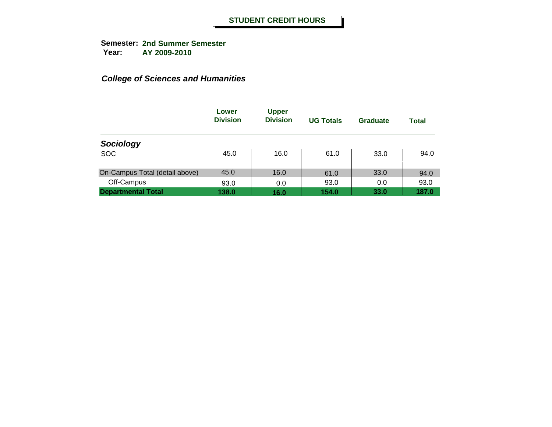|                                | Lower<br><b>Division</b> | <b>Upper</b><br><b>Division</b> | <b>UG Totals</b> | Graduate | Total |
|--------------------------------|--------------------------|---------------------------------|------------------|----------|-------|
| Sociology                      |                          |                                 |                  |          |       |
| <b>SOC</b>                     | 45.0                     | 16.0                            | 61.0             | 33.0     | 94.0  |
| On-Campus Total (detail above) | 45.0                     | 16.0                            | 61.0             | 33.0     | 94.0  |
| Off-Campus                     | 93.0                     | 0.0                             | 93.0             | 0.0      | 93.0  |
| <b>Departmental Total</b>      | 138.0                    | 16.0                            | 154.0            | 33.0     | 187.0 |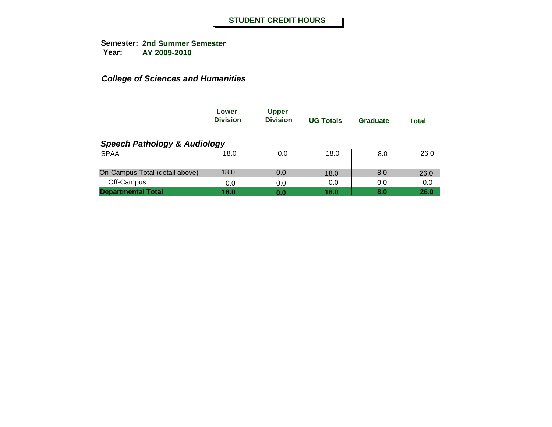|                                         | Lower<br><b>Division</b> | <b>Upper</b><br><b>Division</b> | <b>UG Totals</b> | Graduate | Total |
|-----------------------------------------|--------------------------|---------------------------------|------------------|----------|-------|
| <b>Speech Pathology &amp; Audiology</b> |                          |                                 |                  |          |       |
| <b>SPAA</b>                             | 18.0                     | 0.0                             | 18.0             | 8.0      | 26.0  |
| On-Campus Total (detail above)          | 18.0                     | 0.0                             | 18.0             | 8.0      | 26.0  |
| Off-Campus                              | 0.0                      | 0.0                             | 0.0              | 0.0      | 0.0   |
| <b>Departmental Total</b>               | 18.0                     | 0.0                             | 18.0             | 8.0      | 26.0  |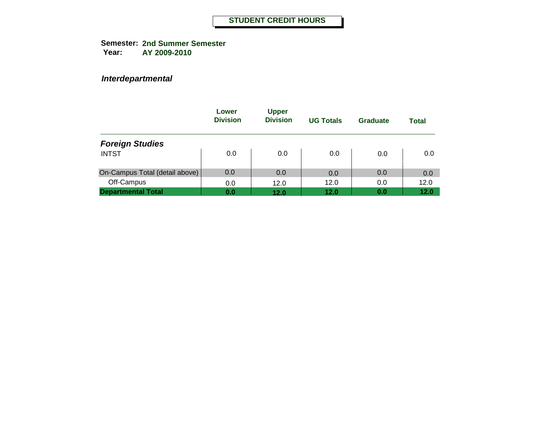*Interdepartmental*

|                                | Lower<br><b>Division</b> | <b>Upper</b><br><b>Division</b> | <b>UG Totals</b> | Graduate | Total |
|--------------------------------|--------------------------|---------------------------------|------------------|----------|-------|
| <b>Foreign Studies</b>         |                          |                                 |                  |          |       |
| <b>INTST</b>                   | 0.0                      | 0.0                             | 0.0              | 0.0      | 0.0   |
| On-Campus Total (detail above) | 0.0                      | 0.0                             | 0.0              | 0.0      | 0.0   |
| Off-Campus                     | 0.0                      | 12.0                            | 12.0             | 0.0      | 12.0  |
| <b>Departmental Total</b>      | 0.0                      | 12.0                            | 12.0             | 0.0      | 12.0  |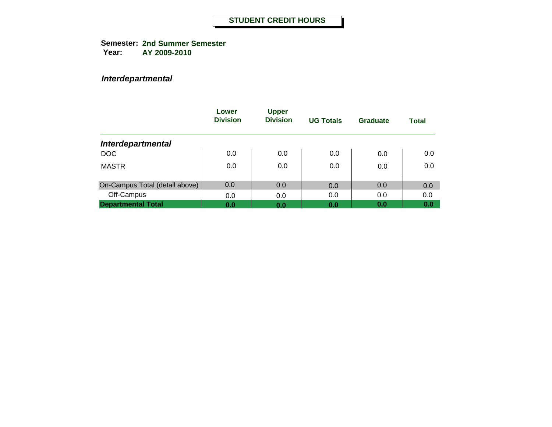**Semester: 2nd Summer Semester Year: AY 2009-2010**

*Interdepartmental*

|                                | Lower<br><b>Division</b> | <b>Upper</b><br><b>Division</b> | <b>UG Totals</b> | Graduate | <b>Total</b> |
|--------------------------------|--------------------------|---------------------------------|------------------|----------|--------------|
| <b>Interdepartmental</b>       |                          |                                 |                  |          |              |
| <b>DOC</b>                     | 0.0                      | 0.0                             | 0.0              | 0.0      | 0.0          |
| <b>MASTR</b>                   | 0.0                      | 0.0                             | 0.0              | 0.0      | 0.0          |
| On-Campus Total (detail above) | 0.0                      | 0.0                             | 0.0              | 0.0      | 0.0          |
| Off-Campus                     | 0.0                      | 0.0                             | 0.0              | 0.0      | 0.0          |
| <b>Departmental Total</b>      | 0.0                      | 0.0                             | 0.0              | 0.0      | 0.0          |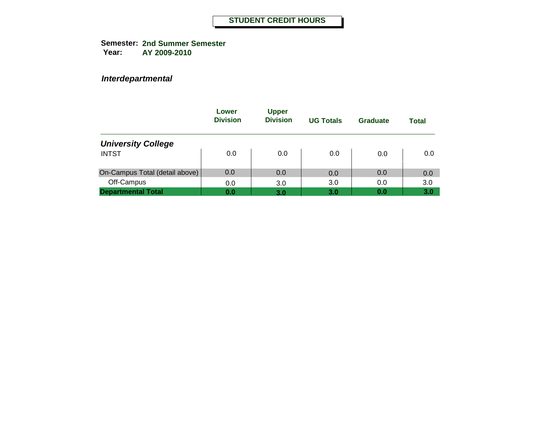*Interdepartmental*

|                                | Lower<br><b>Division</b> | <b>Upper</b><br><b>Division</b> | <b>UG Totals</b> | Graduate | Total |
|--------------------------------|--------------------------|---------------------------------|------------------|----------|-------|
| <b>University College</b>      |                          |                                 |                  |          |       |
| <b>INTST</b>                   | 0.0                      | 0.0                             | 0.0              | 0.0      | 0.0   |
| On-Campus Total (detail above) | 0.0                      | 0.0                             | 0.0              | 0.0      | 0.0   |
| Off-Campus                     | 0.0                      | 3.0                             | 3.0              | 0.0      | 3.0   |
| <b>Departmental Total</b>      | 0.0                      | 3.0                             | 3.0              | 0.0      | 3.0   |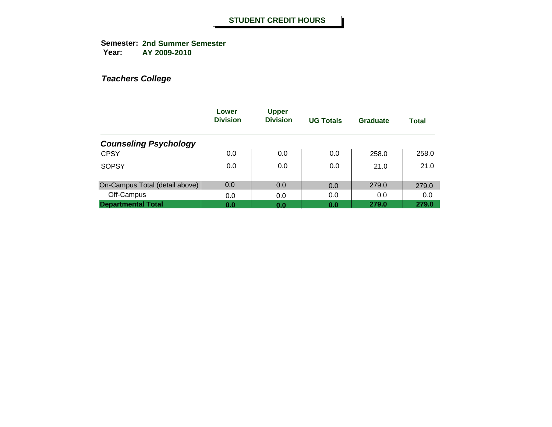**Semester: 2nd Summer Semester Year: AY 2009-2010**

|                                | Lower<br><b>Division</b> | <b>Upper</b><br><b>Division</b> | <b>UG Totals</b> | Graduate | <b>Total</b> |
|--------------------------------|--------------------------|---------------------------------|------------------|----------|--------------|
| <b>Counseling Psychology</b>   |                          |                                 |                  |          |              |
| <b>CPSY</b>                    | 0.0                      | 0.0                             | 0.0              | 258.0    | 258.0        |
| <b>SOPSY</b>                   | 0.0                      | 0.0                             | 0.0              | 21.0     | 21.0         |
| On-Campus Total (detail above) | 0.0                      | 0.0                             | 0.0              | 279.0    | 279.0        |
| Off-Campus                     | 0.0                      | 0.0                             | 0.0              | 0.0      | 0.0          |
| <b>Departmental Total</b>      | 0.0                      | 0.0                             | 0.0              | 279.0    | 279.0        |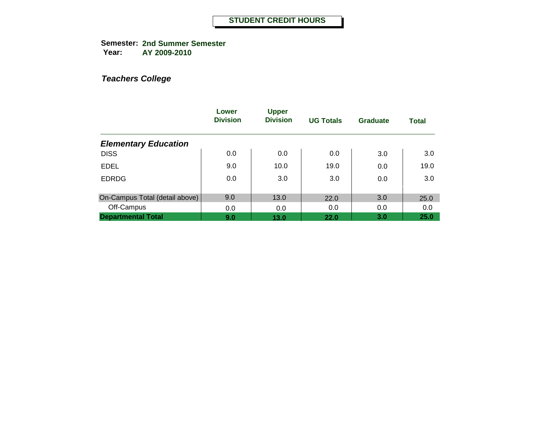**Semester: 2nd Summer Semester Year: AY 2009-2010**

|                                | Lower<br><b>Division</b> | <b>Upper</b><br><b>Division</b> | <b>UG Totals</b> | Graduate | <b>Total</b> |
|--------------------------------|--------------------------|---------------------------------|------------------|----------|--------------|
| <b>Elementary Education</b>    |                          |                                 |                  |          |              |
| <b>DISS</b>                    | 0.0                      | 0.0                             | 0.0              | 3.0      | 3.0          |
| <b>EDEL</b>                    | 9.0                      | 10.0                            | 19.0             | 0.0      | 19.0         |
| <b>EDRDG</b>                   | 0.0                      | 3.0                             | 3.0              | 0.0      | 3.0          |
| On-Campus Total (detail above) | 9.0                      | 13.0                            | 22.0             | 3.0      | 25.0         |
| Off-Campus                     | 0.0                      | 0.0                             | 0.0              | 0.0      | 0.0          |
| <b>Departmental Total</b>      | 9.0                      | 13.0                            | 22.0             | 3.0      | 25.0         |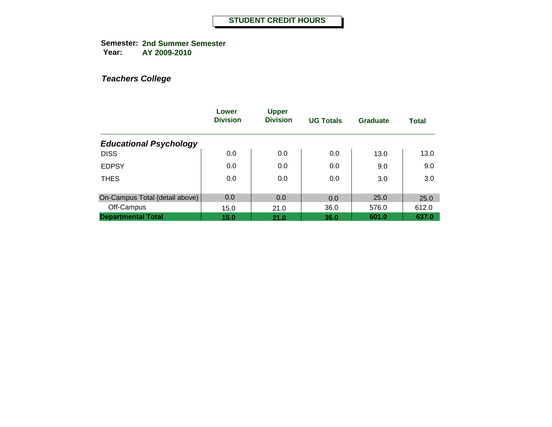**Semester: 2nd Summer Semester Year: AY 2009-2010**

|                                | Lower<br><b>Division</b> | <b>Upper</b><br><b>Division</b> | <b>UG Totals</b> | Graduate | <b>Total</b> |
|--------------------------------|--------------------------|---------------------------------|------------------|----------|--------------|
| <b>Educational Psychology</b>  |                          |                                 |                  |          |              |
| <b>DISS</b>                    | 0.0                      | 0.0                             | 0.0              | 13.0     | 13.0         |
| <b>EDPSY</b>                   | 0.0                      | 0.0                             | 0.0              | 9.0      | 9.0          |
| <b>THES</b>                    | 0.0                      | 0.0                             | 0.0              | 3.0      | 3.0          |
| On-Campus Total (detail above) | 0.0                      | 0.0                             | 0.0              | 25.0     | 25.0         |
| Off-Campus                     | 15.0                     | 21.0                            | 36.0             | 576.0    | 612.0        |
| <b>Departmental Total</b>      | 15.0                     | 21.0                            | 36.0             | 601.0    | 637.0        |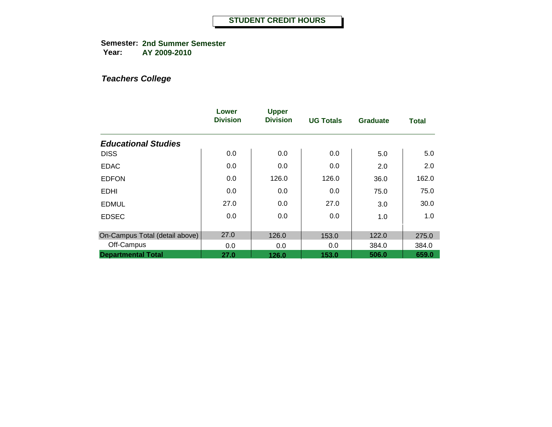**Semester: 2nd Summer Semester Year: AY 2009-2010**

|                                | Lower<br><b>Division</b> | <b>Upper</b><br><b>Division</b> | <b>UG Totals</b> | <b>Graduate</b> | <b>Total</b> |
|--------------------------------|--------------------------|---------------------------------|------------------|-----------------|--------------|
| <b>Educational Studies</b>     |                          |                                 |                  |                 |              |
| <b>DISS</b>                    | 0.0                      | 0.0                             | 0.0              | 5.0             | 5.0          |
| <b>EDAC</b>                    | 0.0                      | 0.0                             | 0.0              | 2.0             | 2.0          |
| <b>EDFON</b>                   | 0.0                      | 126.0                           | 126.0            | 36.0            | 162.0        |
| <b>EDHI</b>                    | 0.0                      | 0.0                             | 0.0              | 75.0            | 75.0         |
| <b>EDMUL</b>                   | 27.0                     | 0.0                             | 27.0             | 3.0             | 30.0         |
| <b>EDSEC</b>                   | 0.0                      | 0.0                             | 0.0              | 1.0             | 1.0          |
| On-Campus Total (detail above) | 27.0                     | 126.0                           | 153.0            | 122.0           | 275.0        |
| Off-Campus                     | 0.0                      | 0.0                             | 0.0              | 384.0           | 384.0        |
| <b>Departmental Total</b>      | 27.0                     | 126.0                           | 153.0            | 506.0           | 659.0        |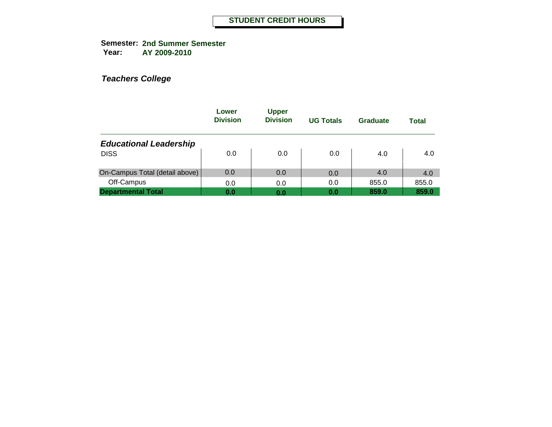|                                | Lower<br><b>Division</b> | <b>Upper</b><br><b>Division</b> | <b>UG Totals</b> | Graduate | Total |
|--------------------------------|--------------------------|---------------------------------|------------------|----------|-------|
| <b>Educational Leadership</b>  |                          |                                 |                  |          |       |
| <b>DISS</b>                    | 0.0                      | 0.0                             | 0.0              | 4.0      | 4.0   |
| On-Campus Total (detail above) | 0.0                      | 0.0                             | 0.0              | 4.0      | 4.0   |
| Off-Campus                     | 0.0                      | 0.0                             | 0.0              | 855.0    | 855.0 |
| <b>Departmental Total</b>      | 0.0                      | 0.0                             | 0.0              | 859.0    | 859.0 |